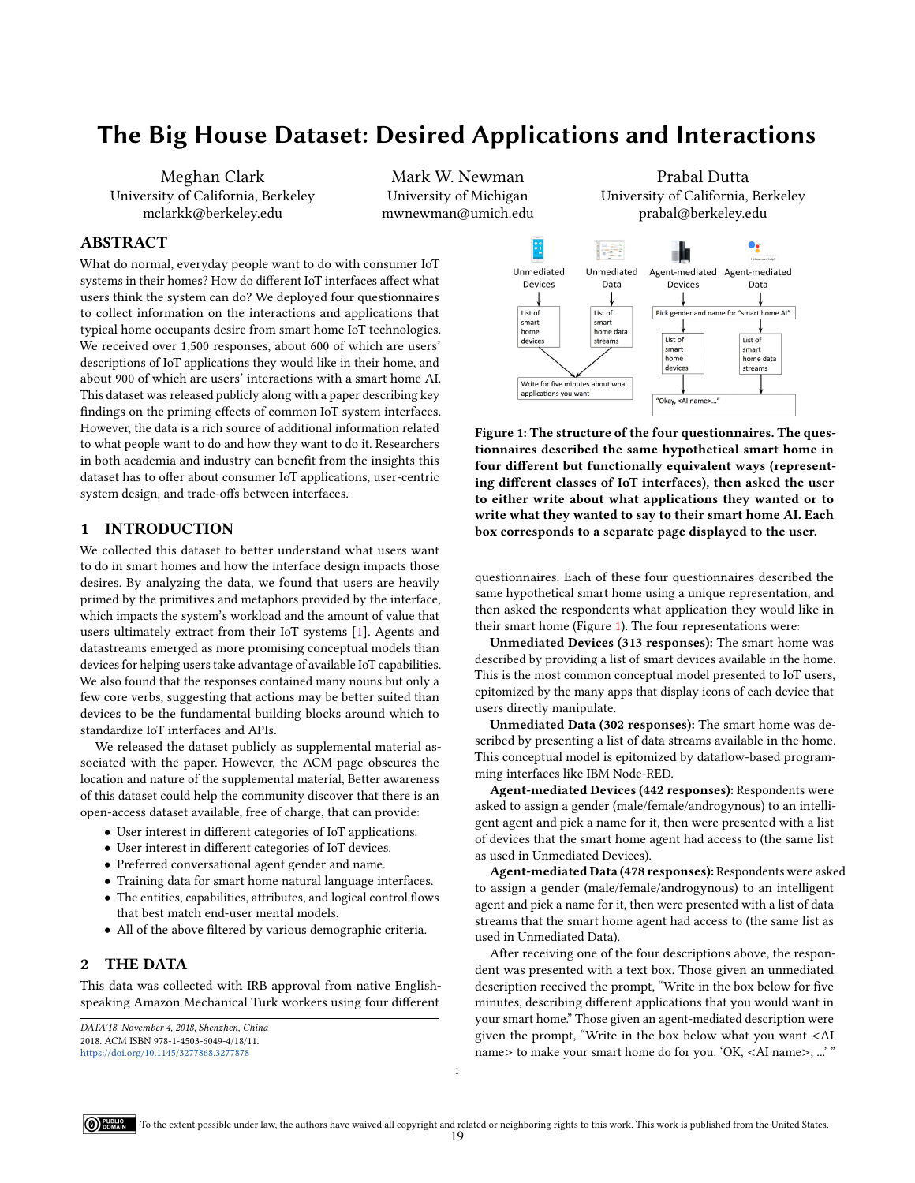# The Big House Dataset: Desired Applications and Interactions

Meghan Clark University of California, Berkeley mclarkk@berkeley.edu

Mark W. Newman University of Michigan mwnewman@umich.edu

# ABSTRACT

What do normal, everyday people want to do with consumer IoT systems in their homes? How do different IoT interfaces affect what users think the system can do? We deployed four questionnaires to collect information on the interactions and applications that typical home occupants desire from smart home IoT technologies. We received over 1,500 responses, about 600 of which are users' descriptions of IoT applications they would like in their home, and about 900 of which are users' interactions with a smart home AI. This dataset was released publicly along with a paper describing key findings on the priming effects of common IoT system interfaces. However, the data is a rich source of additional information related to what people want to do and how they want to do it. Researchers in both academia and industry can benefit from the insights this dataset has to offer about consumer IoT applications, user-centric system design, and trade-offs between interfaces.

# 1 INTRODUCTION

We collected this dataset to better understand what users want to do in smart homes and how the interface design impacts those desires. By analyzing the data, we found that users are heavily primed by the primitives and metaphors provided by the interface, which impacts the system's workload and the amount of value that users ultimately extract from their IoT systems [\[1\]](#page-1-0). Agents and datastreams emerged as more promising conceptual models than devices for helping users take advantage of available IoT capabilities. We also found that the responses contained many nouns but only a few core verbs, suggesting that actions may be better suited than devices to be the fundamental building blocks around which to standardize IoT interfaces and APIs.

We released the dataset publicly as supplemental material associated with the paper. However, the ACM page obscures the location and nature of the supplemental material, Better awareness of this dataset could help the community discover that there is an open-access dataset available, free of charge, that can provide:

- User interest in different categories of IoT applications.
- User interest in different categories of IoT devices.
- Preferred conversational agent gender and name.
- Training data for smart home natural language interfaces.
- The entities, capabilities, attributes, and logical control flows that best match end-user mental models.
- All of the above filtered by various demographic criteria.

# 2 THE DATA

This data was collected with IRB approval from native Englishspeaking Amazon Mechanical Turk workers using four different



<span id="page-0-0"></span>

Figure 1: The structure of the four questionnaires. The questionnaires described the same hypothetical smart home in four different but functionally equivalent ways (representing different classes of IoT interfaces), then asked the user to either write about what applications they wanted or to write what they wanted to say to their smart home AI. Each box corresponds to a separate page displayed to the user.

questionnaires. Each of these four questionnaires described the same hypothetical smart home using a unique representation, and then asked the respondents what application they would like in their smart home (Figure [1\)](#page-0-0). The four representations were:

Unmediated Devices (313 responses): The smart home was described by providing a list of smart devices available in the home. This is the most common conceptual model presented to IoT users, epitomized by the many apps that display icons of each device that users directly manipulate.

Unmediated Data (302 responses): The smart home was described by presenting a list of data streams available in the home. This conceptual model is epitomized by dataflow-based programming interfaces like IBM Node-RED.

Agent-mediated Devices (442 responses): Respondents were asked to assign a gender (male/female/androgynous) to an intelligent agent and pick a name for it, then were presented with a list of devices that the smart home agent had access to (the same list as used in Unmediated Devices).

Agent-mediated Data (478 responses): Respondents were asked to assign a gender (male/female/androgynous) to an intelligent agent and pick a name for it, then were presented with a list of data streams that the smart home agent had access to (the same list as used in Unmediated Data).

After receiving one of the four descriptions above, the respondent was presented with a text box. Those given an unmediated description received the prompt, "Write in the box below for five minutes, describing different applications that you would want in your smart home." Those given an agent-mediated description were given the prompt, "Write in the box below what you want <AI name> to make your smart home do for you. 'OK, <AI name>, ...' "

1

DATA'18, November 4, 2018, Shenzhen, China 2018. ACM ISBN 978-1-4503-6049-4/18/11.

<https://doi.org/10.1145/3277868.3277878>